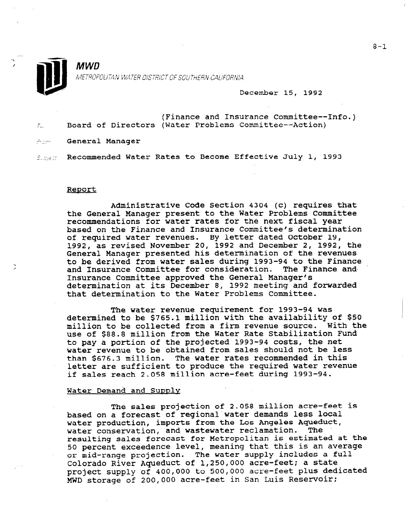

MWD<br>METROPOLITAN WATER DISTRICT OF SOUTHERN CALIFORNIA<br>December 15, 1992

| -Tar | (Finance and Insurance Committee--Info.)<br>Board of Directors (Water Problems Committee--Action) |
|------|---------------------------------------------------------------------------------------------------|
|      | Form General Manager                                                                              |

Super Recommended Water Rates to Become Effective July 1, 1993

#### Report

Administrative Code Section 4304 (c) requires that the General Manager present to the Water Problems Committee recommendations for water rates for the next fiscal year based on the Finance and Insurance Committee's determination of required water revenues. By letter dated October 19, 1992, as revised November 20, 1992 and December 2, 1992, the General Manager presented his determination of the revenues to be derived from water sales during 1993-94 to the Finance and Insurance Committee for consideration. The Finance and-Insurance Committee approved the General Manager's determination at its December 8, 1992 meeting and forwarded that determination to the Water Problems Committee.

The water revenue requirement for 1993-94 was determined to be \$765.1 million with the availability of \$50 million to be collected from a firm revenue source. With the use of \$88.8 million from the Water Rate Stabilization Fund to pay a portion of the projected 1993-94 costs, the net water revenue to be obtained from sales should not be less than \$676.3 million. The water rates recommended in this letter are sufficient to produce the required water revenue if sales reach 2.058 million acre-feet during 1993-94.

#### Water Demand and Supply

The sales projection of 2.058 million acre-feet is based on a forecast of regional water demands less local water production, imports from the Los Angeles Aqueduct, water conservation, and wastewater reclamation. The resulting sales forecast for Metropolitan is estimated at the 50 percent exceedence level, meaning that this is an average or mid-range projection. The water supply includes a full Colorado River Aqueduct of 1,250,000 acre-feet; a state project supply of 400,000 to 500,000 acre-feet plus dedicated MWD storage of 200,000 acre-feet in San Luis Reservoir: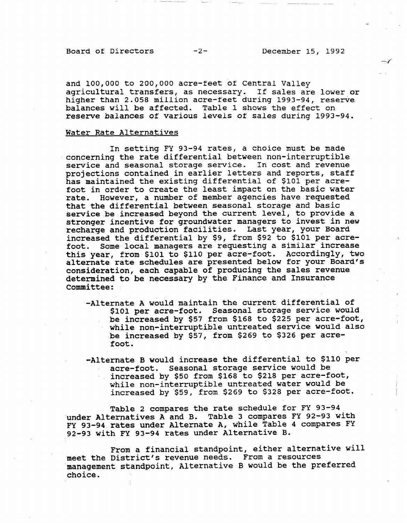Board of Directors -2- December 15, 1992

 $\rightarrow$ 

and 100,000 to 200,000 acre-feet of Central Valley agricultural transfers, as necessary. If sales are lower or higher than 2.058 million acre-feet during 1993-94, reserve balances will be affected. Table 1 shows the effect on reserve balances of various levels of sales during 1993-94.

#### Water Rate Alternatives

In setting FY 93-94 rates, a choice must be made concerning the rate differential between non-interruptible service and seasonal storage service. In cost and revenue projections contained in earlier letters and reports, staff has maintained the existing differential of \$101 per acrefoot in order to create the least impact on the basic water rate. However, a number of member agencies have requested that the differential between seasonal storage and basic service be increased beyond the current level, to provide a stronger incentive for groundwater managers to invest in new recharge and production facilities. Last year, your Board recharge and production facilities. Last year, your board<br>increased the differential by \$9, from \$92 to \$101 per acre foot. Some local managers are requesting a similar increase foot. Some local managers are requesting a similar increase this year, from \$101 to \$110 per acre-foot. Accordingly, two alternate rate schedules are presented below for your Board's consideration, each capable of producing the sales revenue determined to be necessary by the Finance and Insurance<br>Committee:

- -Alternate A would maintain the current differential of rnate A would maintain the current differential of \$101 per acre-foot. Seasonal storage service would be increased by \$57 from \$168 to \$225 per acre-foot, while non-interruptible untreated service would also be increased by \$57, from \$269 to \$326 per acre-<br>foot.
- -Alternate B would increase the differential to \$110 per rnate B would increase the differential to \$1 acre-foot. Seasonal storage service would be increased by \$50 from \$168 to \$218 per acre-foot, while non-interruptible untreated water would be increased by \$59, from \$269 to \$328 per acre-foot.

Table 2 compares the rate schedule for  $\mathcal{L}_1$  93-944  $\mathcal{L}_2$  93-944  $\mathcal{L}_3$  93-944  $\mathcal{L}_4$ 

From a financial standpoint, either alternative will

Table 2 compares the rate schedule for FY 93-94 under Alternatives A and B. Table 3 compares FY 92-93 with FY 93-94 rates under Alternate A, while Table 4 compares FY<br>92-93 with FY 93-94 rates under Alternative B.

From a financial standpoint, either alter meet the District's revenue needs. From a resources management standpoint, Alternative B would be the preferred choice.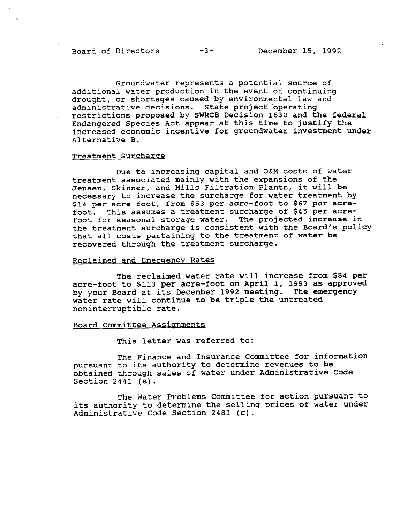Board of Directors -3- December 15, 1992

Groundwater represents a potential source of additional water production in the event of continuing drought, or shortages caused by environmental law and administrative decisions. State project 'operating restrictions proposed by SWRCB Decision 1630 and the federal Endangered Species Act appear at this time to justify the increased economic incentive for groundwater investment under Alternative B.

#### Treatment Surcharge

Due to increasing capital and O&M costs of water treatment associated mainly with the expansions of the Jensen, Skinner, and Mills Filtration Plants, it will be necessary to increase the surcharge for water treatment by \$14 per acre-foot, from \$53 per acre-foot to \$67 per acrefoot. This assumes a treatment surcharge of \$45 per acrefoot for seasonal storage water. The projected increase in the treatment surcharge is consistent with the Board's policy that all costs pertaining to the treatment of water be recovered through the treatment surcharge.

#### Reclaimed and Emergency Rates

The reclaimed water rate will increase from \$84 per acre-foot to \$113 per acre-foot on April 1, 1993 as approved by your Board at its December 1992 meeting. The emergency water rate will continue to be triple the untreated noninterruptible rate.

#### Board Committee Assignments

This letter was referred to:

The Finance and Insurance Committee for information pursuant to its authority to determine revenues to be obtained through sales of water under Administrative Code Section 2441 (e).

The Water Problems Committee for action pursuant to its authority to determine the selling prices of water under Administrative Code Section 2481 (c).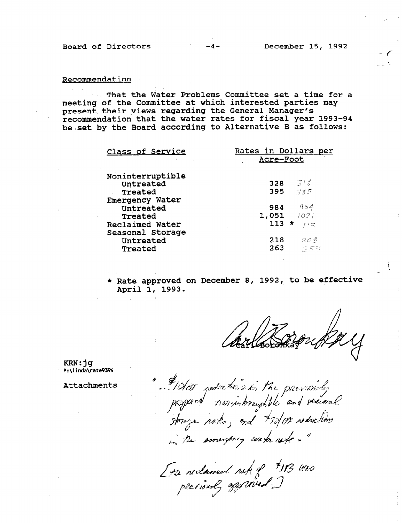-f

t

### **Recommendation**

That the Water Problems Committee set a time for a meeting of the Committee at which interested parties may present their views regarding the General Manager's recommendation that the water rates for fiscal year 1993-94 be set by the Board according to Alternative B as follows:

| Class of Service                                                  | Rates in Dollars per<br>Acre-Foot             |
|-------------------------------------------------------------------|-----------------------------------------------|
| Noninterruptible<br>Untreated<br>Treated                          | $-318$<br>328<br>395 785                      |
| <b>Emergency Water</b><br>Untreated<br>Treated<br>Reclaimed Water | 954<br>984<br>$1,051$ /02)<br>$113 *$<br>ーディス |
| Seasonal Storage<br>Untreated<br>Treated                          | 218<br>208<br>263<br>つぶ形                      |

\* Rate approved on December 8, 1992, to be effective April 1, 1993.

KRN:jg P:\linda\rate9394

Attachments

" #10/05 podections in the parvishely<br>peopord non-interuptiles and seasonal in the smergeog water afe . "

Ette reclaimed rak of #18 was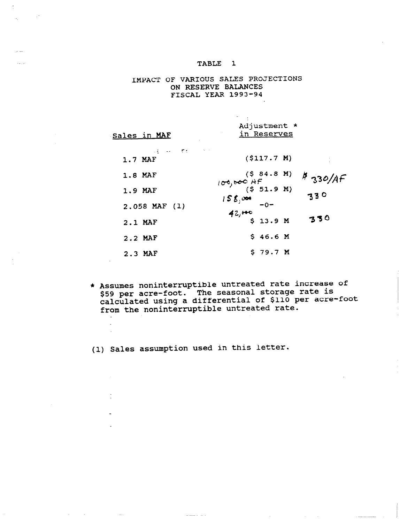## IMPACT OF VARIOUS SALES PROJECTIONS ON RESERVE BALANCES FISCAL YEAR 1993-94

| <u>Sales in MAF</u>                    | Adjustment *<br>in Reserves |         |
|----------------------------------------|-----------------------------|---------|
| 经一种 不整<br><b>Contractor</b><br>1.7 MAF | ( \$117.7 M)                |         |
| 1.8 MAF                                | (584.8 M)                   | 4330/AF |
| 1.9 MAF                                | $(0, 0)$ $(5, 51.9, M)$     | 330     |
| $2.058$ MAF $(1)$                      | $15S$ , and<br>$-0-$        |         |
| 2.1 MAF                                | $42,000$<br>\$ 13.9 M       | 330     |
| 2.2 MAF                                | \$46.6 M                    |         |
| 2.3 MAF                                | \$79.7M                     |         |

 $\mathbf{r}$ 

\* Assumes noninterruptible untreated rate increase of \$59 per acre-foot. The seasonal storage rate is calculated using a differential of \$110 per acre-foot from the noninterruptible untreated rate.

(1) Sales assumption used in this letter.

 $\sim$  same is a set of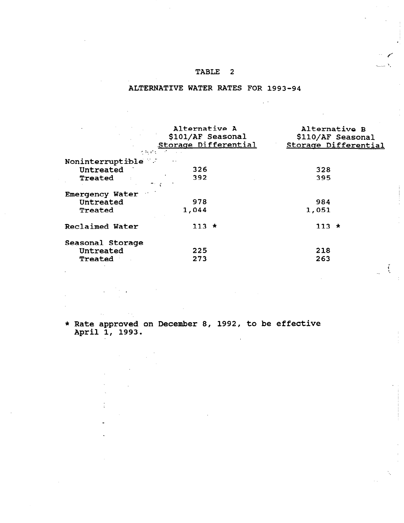### ALTERNATIVE WATER RATES FOR 1993-94

| and the contract and alternative A | \$101/AF Seasonal<br>Storage Differential<br>えをする アーバー | Alternative B | \$110/AF Seasonal<br>Storage Differential |
|------------------------------------|--------------------------------------------------------|---------------|-------------------------------------------|
| Noninterruptible                   |                                                        |               |                                           |
| Untreated                          | 326                                                    | 328           |                                           |
| <b>Treated</b>                     | 392                                                    | 395           |                                           |
| Emergency Water                    |                                                        |               |                                           |
| Untreated                          | 978                                                    | 984           |                                           |
| Treated                            | 1,044                                                  | 1,051         |                                           |
| Reclaimed Water                    | $113 *$                                                | $113 *$       |                                           |
| Seasonal Storage                   |                                                        |               |                                           |
| Untreated                          | 225                                                    | 218           |                                           |
| Treated                            | 273                                                    | 263           |                                           |
|                                    |                                                        |               |                                           |

i '.

\* Rate approved on December 8, 1992, to be effective Aute approved<br>April 1, 1993.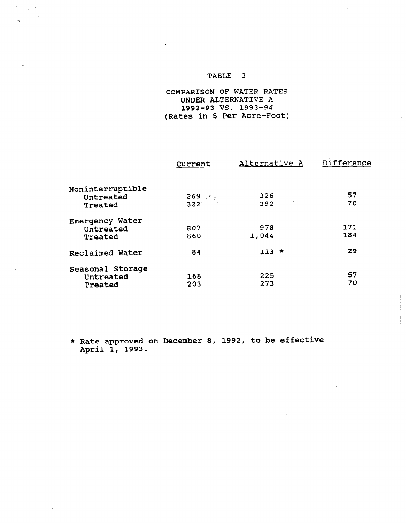$\sim$ 

 $\sum_{i=1}^n \frac{1}{2} \sum_{j=1}^n \frac{1}{2} \sum_{j=1}^n \frac{1}{2} \sum_{j=1}^n \frac{1}{2} \sum_{j=1}^n \frac{1}{2} \sum_{j=1}^n \frac{1}{2} \sum_{j=1}^n \frac{1}{2} \sum_{j=1}^n \frac{1}{2} \sum_{j=1}^n \frac{1}{2} \sum_{j=1}^n \frac{1}{2} \sum_{j=1}^n \frac{1}{2} \sum_{j=1}^n \frac{1}{2} \sum_{j=1}^n \frac{1}{2} \sum_{j=1}^n \frac{$ 

 $\omega_{\rm c}$ 

## COMPARISON OF WATER RATES UNDER ALTERNATIVE A 1992-93 vs. 1993-94 (Rates in \$ Per Acre-Foot)

|                                          | Current           | Alternative A | Difference |
|------------------------------------------|-------------------|---------------|------------|
| Noninterruptible<br>Untreated<br>Treated | $\frac{269}{322}$ | 326)<br>392   | 57<br>70   |
| Emergency Water<br>Untreated<br>Treated  | 807<br>860        | 978<br>1,044  | 171<br>184 |
| Reclaimed Water                          | 84                | $113$ *       | 29         |
| Seasonal Storage<br>Untreated<br>Treated | 168<br>203        | 225<br>273    | 57<br>70   |

\* Rate approved on December 8, 1992, to be effect Auss approver<br>April 1, 1993.

 $\lambda$ 

 $\sim$